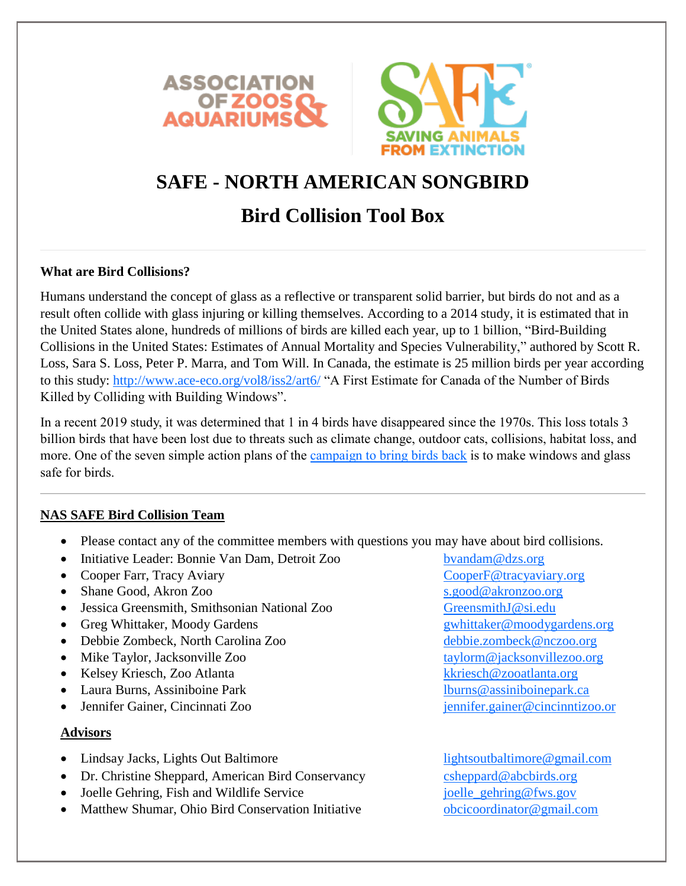



# **SAFE - NORTH AMERICAN SONGBIRD**

# **Bird Collision Tool Box**

## **What are Bird Collisions?**

Humans understand the concept of glass as a reflective or transparent solid barrier, but birds do not and as a result often collide with glass injuring or killing themselves. According to a 2014 study, it is estimated that in the United States alone, hundreds of millions of birds are killed each year, up to 1 billion, "Bird-Building Collisions in the United States: Estimates of Annual Mortality and Species Vulnerability," authored by Scott R. Loss, Sara S. Loss, Peter P. Marra, and Tom Will. In Canada, the estimate is 25 million birds per year according to this study:<http://www.ace-eco.org/vol8/iss2/art6/> "A First Estimate for Canada of the Number of Birds Killed by Colliding with Building Windows".

In a recent 2019 study, it was determined that 1 in 4 birds have disappeared since the 1970s. This loss totals 3 billion birds that have been lost due to threats such as climate change, outdoor cats, collisions, habitat loss, and more. One of the seven simple action plans of the [campaign to bring birds back](https://www.3billionbirds.org/) is to make windows and glass safe for birds.

## **NAS SAFE Bird Collision Team**

- Please contact any of the committee members with questions you may have about bird collisions.
- Initiative Leader: Bonnie Van Dam, Detroit Zoo [bvandam@dzs.org](mailto:bvandam@dzs.org)
- Cooper Farr, Tracy Aviary **Cooper Farret Aviaty** Cooper F@tracyaviary.org
- Shane Good, Akron Zoo [s.good@akronzoo.org](mailto:s.good@akronzoo.org)
- Jessica Greensmith, Smithsonian National Zoo [GreensmithJ@si.edu](mailto:GreensmithJ@si.edu)
- Greg Whittaker, Moody Gardens [gwhittaker@moodygardens.org](mailto:gwhittaker@moodygardens.org)
- Debbie Zombeck, North Carolina Zoo [debbie.zombeck@nczoo.org](mailto:debbie.zombeck@nczoo.org)
- Mike Taylor, Jacksonville Zoo [taylorm@jacksonvillezoo.org](mailto:taylorm@jacksonvillezoo.org)
- Kelsey Kriesch, Zoo Atlanta [kkriesch@zooatlanta.org](mailto:kkriesch@zooatlanta.org)
- Laura Burns, Assiniboine Park lburns @assiniboinepark.ca
- Jennifer Gainer, Cincinnati Zoo [jennifer.gainer@cincinntizoo.or](mailto:jennifer.gainer@cincinntizoo.org)

### **Advisors**

- Lindsay Jacks, Lights Out Baltimore lightsoutbaltimore @gmail.com
- Dr. Christine Sheppard, American Bird Conservancy [csheppard@abcbirds.org](mailto:csheppard@abcbirds.org)
- Joelle Gehring, Fish and Wildlife Service is a joelle gehring@fws.gov
- Matthew Shumar, Ohio Bird Conservation Initiative [obcicoordinator@gmail.com](mailto:obcicoordinator@gmail.com)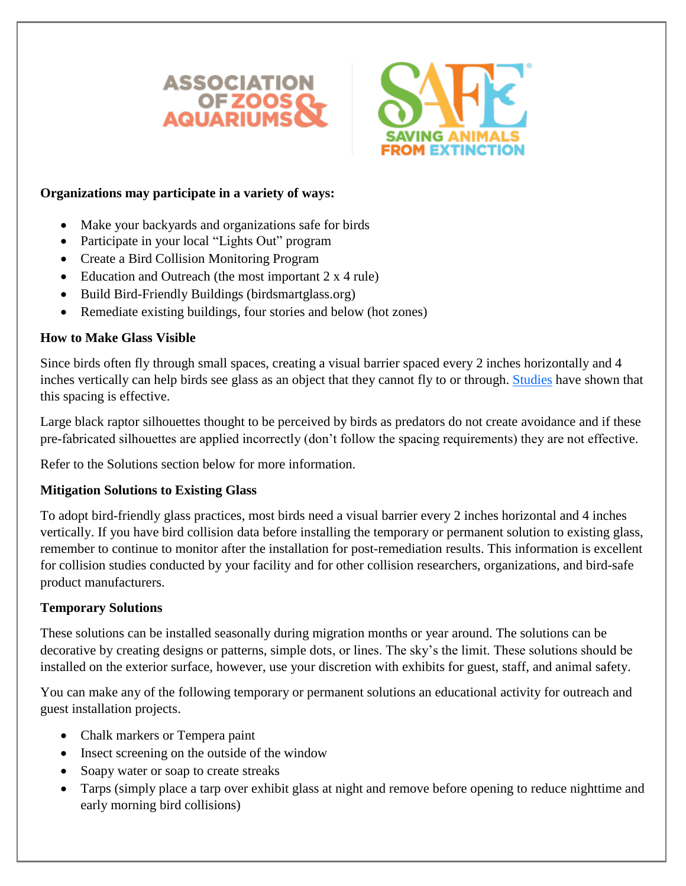



## **Organizations may participate in a variety of ways:**

- Make your backyards and organizations safe for birds
- Participate in your local "Lights Out" program
- Create a Bird Collision Monitoring Program
- Education and Outreach (the most important  $2 \times 4$  rule)
- Build Bird-Friendly Buildings (birdsmartglass.org)
- Remediate existing buildings, four stories and below (hot zones)

## **How to Make Glass Visible**

Since birds often fly through small spaces, creating a visual barrier spaced every 2 inches horizontally and 4 inches vertically can help birds see glass as an object that they cannot fly to or through. [Studies](http://collisions.abcbirds.org/research.html) have shown that this spacing is effective.

Large black raptor silhouettes thought to be perceived by birds as predators do not create avoidance and if these pre-fabricated silhouettes are applied incorrectly (don't follow the spacing requirements) they are not effective.

Refer to the Solutions section below for more information.

## **Mitigation Solutions to Existing Glass**

To adopt bird-friendly glass practices, most birds need a visual barrier every 2 inches horizontal and 4 inches vertically. If you have bird collision data before installing the temporary or permanent solution to existing glass, remember to continue to monitor after the installation for post-remediation results. This information is excellent for collision studies conducted by your facility and for other collision researchers, organizations, and bird-safe product manufacturers.

# **Temporary Solutions**

These solutions can be installed seasonally during migration months or year around. The solutions can be decorative by creating designs or patterns, simple dots, or lines. The sky's the limit. These solutions should be installed on the exterior surface, however, use your discretion with exhibits for guest, staff, and animal safety.

You can make any of the following temporary or permanent solutions an educational activity for outreach and guest installation projects.

- Chalk markers or Tempera paint
- Insect screening on the outside of the window
- Soapy water or soap to create streaks
- Tarps (simply place a tarp over exhibit glass at night and remove before opening to reduce nighttime and early morning bird collisions)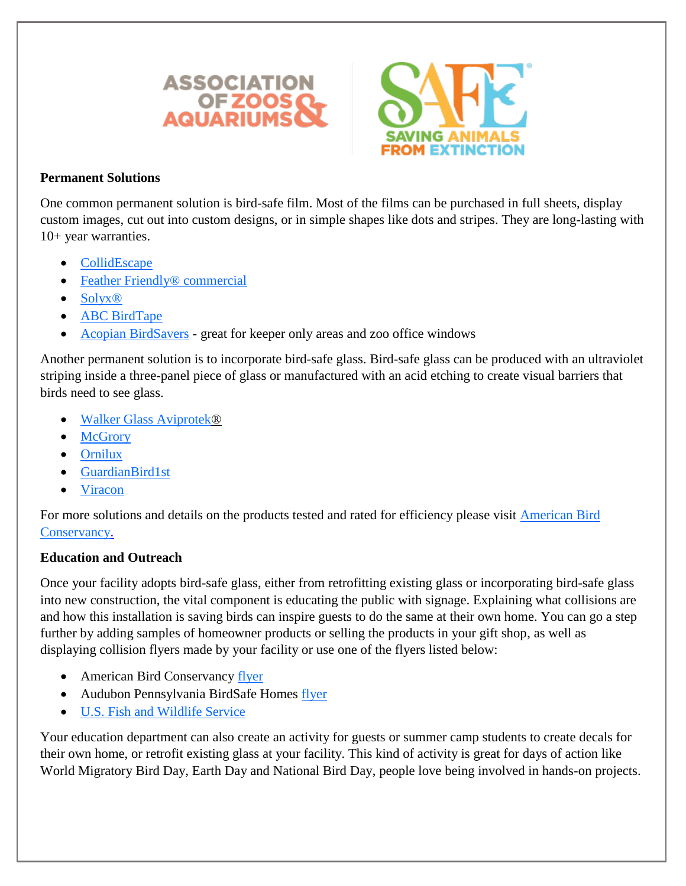



## **Permanent Solutions**

One common permanent solution is bird-safe film. Most of the films can be purchased in full sheets, display custom images, cut out into custom designs, or in simple shapes like dots and stripes. They are long-lasting with 10+ year warranties.

- **[CollidEscape](https://www.collidescape.org/)**
- [Feather Friendly® commercial](https://www.featherfriendly.com/commercial/)
- [Solyx®](https://www.decorativefilm.com/specialty-bird-safety)
- [ABC BirdTape](https://abcbirds.org/abc-bird-tape/)
- [Acopian BirdSavers](https://www.birdsavers.com/) great for keeper only areas and zoo office windows

Another permanent solution is to incorporate bird-safe glass. Bird-safe glass can be produced with an ultraviolet striping inside a three-panel piece of glass or manufactured with an acid etching to create visual barriers that birds need to see glass.

- [Walker Glass Aviprotek®](https://www.walkerglass.com/resources/bird-safe-glass/)
- **[McGrory](https://mcgrory.com/bird-friendly/)**
- [Ornilux](http://ornilux.com/)
- [GuardianBird1st](http://www.guardianglass.com/)
- [Viracon](https://www.viracon.com/bird-friendly/)

For more solutions and details on the products tested and rated for efficiency please visit [American Bird](https://abcbirds.org/threat/bird-strikes/)  [Conservancy.](https://abcbirds.org/threat/bird-strikes/)

# **Education and Outreach**

Once your facility adopts bird-safe glass, either from retrofitting existing glass or incorporating bird-safe glass into new construction, the vital component is educating the public with signage. Explaining what collisions are and how this installation is saving birds can inspire guests to do the same at their own home. You can go a step further by adding samples of homeowner products or selling the products in your gift shop, as well as displaying collision flyers made by your facility or use one of the flyers listed below:

- American Bird Conservancy [flyer](https://abcbirds.org/get-involved/bird-smart-glass/)
- Audubon Pennsylvania BirdSafe Homes [flyer](https://pa.audubon.org/birds/windows)
- [U.S. Fish and Wildlife Service](https://www.fws.gov/birds/bird-enthusiasts/threats-to-birds/collisions/buildings-and-glass.php)

Your education department can also create an activity for guests or summer camp students to create decals for their own home, or retrofit existing glass at your facility. This kind of activity is great for days of action like World Migratory Bird Day, Earth Day and National Bird Day, people love being involved in hands-on projects.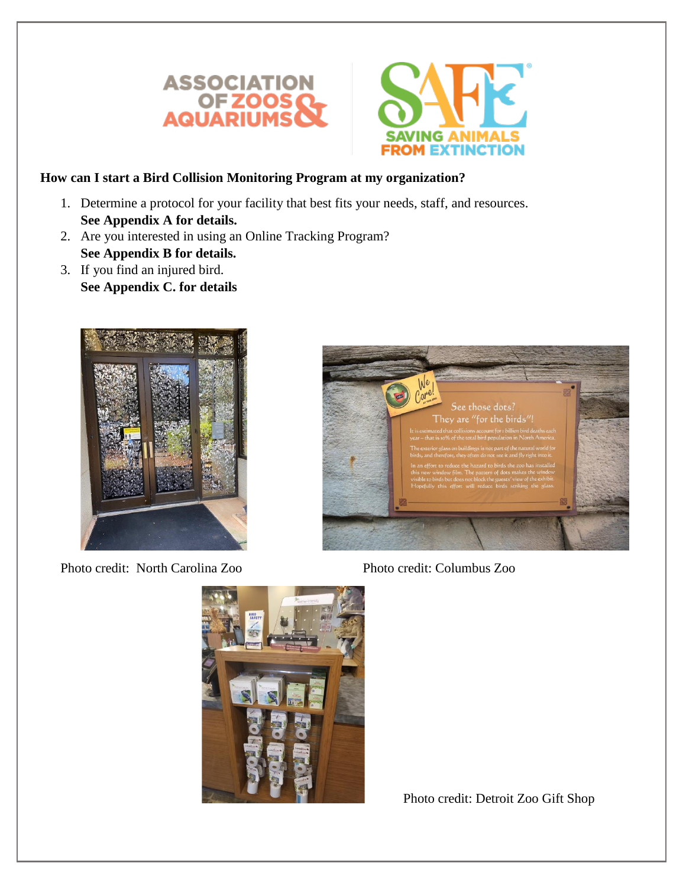



## **How can I start a Bird Collision Monitoring Program at my organization?**

- 1. Determine a protocol for your facility that best fits your needs, staff, and resources. **See Appendix A for details.**
- 2. Are you interested in using an Online Tracking Program? **See Appendix B for details.**
- 3. If you find an injured bird. **See Appendix C. for details**



Photo credit: North Carolina Zoo Photo credit: Columbus Zoo





Photo credit: Detroit Zoo Gift Shop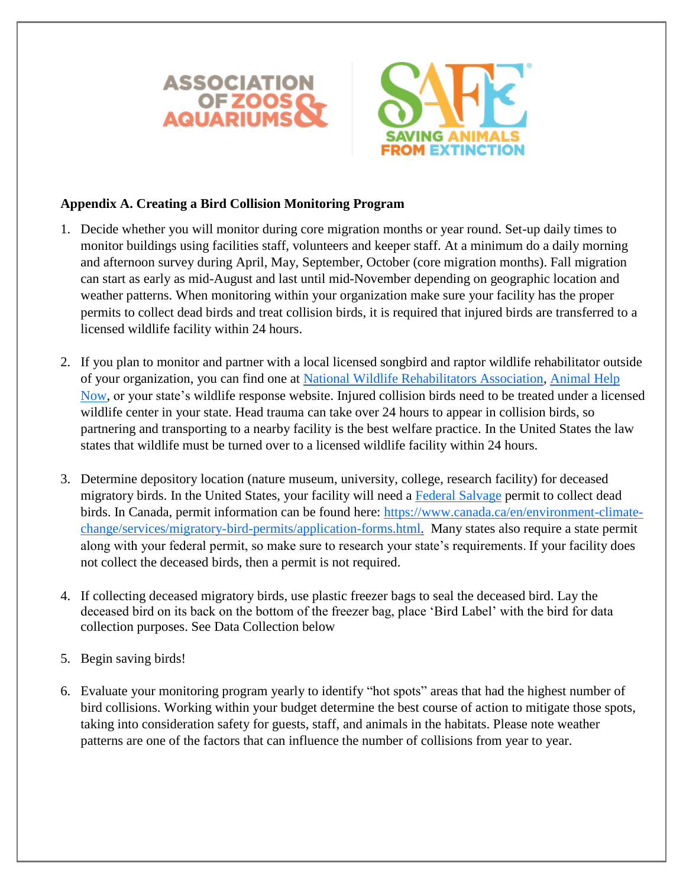



#### **Appendix A. Creating a Bird Collision Monitoring Program**

- 1. Decide whether you will monitor during core migration months or year round. Set-up daily times to monitor buildings using facilities staff, volunteers and keeper staff. At a minimum do a daily morning and afternoon survey during April, May, September, October (core migration months). Fall migration can start as early as mid-August and last until mid-November depending on geographic location and weather patterns. When monitoring within your organization make sure your facility has the proper permits to collect dead birds and treat collision birds, it is required that injured birds are transferred to a licensed wildlife facility within 24 hours.
- 2. If you plan to monitor and partner with a local licensed songbird and raptor wildlife rehabilitator outside of your organization, you can find one at [National Wildlife Rehabilitators Association,](https://www.nwrawildlife.org/page/Find_A_Rehabilitator) [Animal Help](https://ahnow.org/#/)  [Now,](https://ahnow.org/#/) or your state's wildlife response website. Injured collision birds need to be treated under a licensed wildlife center in your state. Head trauma can take over 24 hours to appear in collision birds, so partnering and transporting to a nearby facility is the best welfare practice. In the United States the law states that wildlife must be turned over to a licensed wildlife facility within 24 hours.
- 3. Determine depository location (nature museum, university, college, research facility) for deceased migratory birds. In the United States, your facility will need a [Federal Salvage](https://www.fws.gov/migratorybirds/pdf/policies-and-regulations/3-200-10aFAQ.pdf) permit to collect dead birds. In Canada, permit information can be found here: [https://www.canada.ca/en/environment-climate](https://www.canada.ca/en/environment-climate-change/services/migratory-bird-permits/application-forms.html)[change/services/migratory-bird-permits/application-forms.html.](https://www.canada.ca/en/environment-climate-change/services/migratory-bird-permits/application-forms.html) Many states also require a state permit along with your federal permit, so make sure to research your state's requirements. If your facility does not collect the deceased birds, then a permit is not required.
- 4. If collecting deceased migratory birds, use plastic freezer bags to seal the deceased bird. Lay the deceased bird on its back on the bottom of the freezer bag, place 'Bird Label' with the bird for data collection purposes. See Data Collection below
- 5. Begin saving birds!
- 6. Evaluate your monitoring program yearly to identify "hot spots" areas that had the highest number of bird collisions. Working within your budget determine the best course of action to mitigate those spots, taking into consideration safety for guests, staff, and animals in the habitats. Please note weather patterns are one of the factors that can influence the number of collisions from year to year.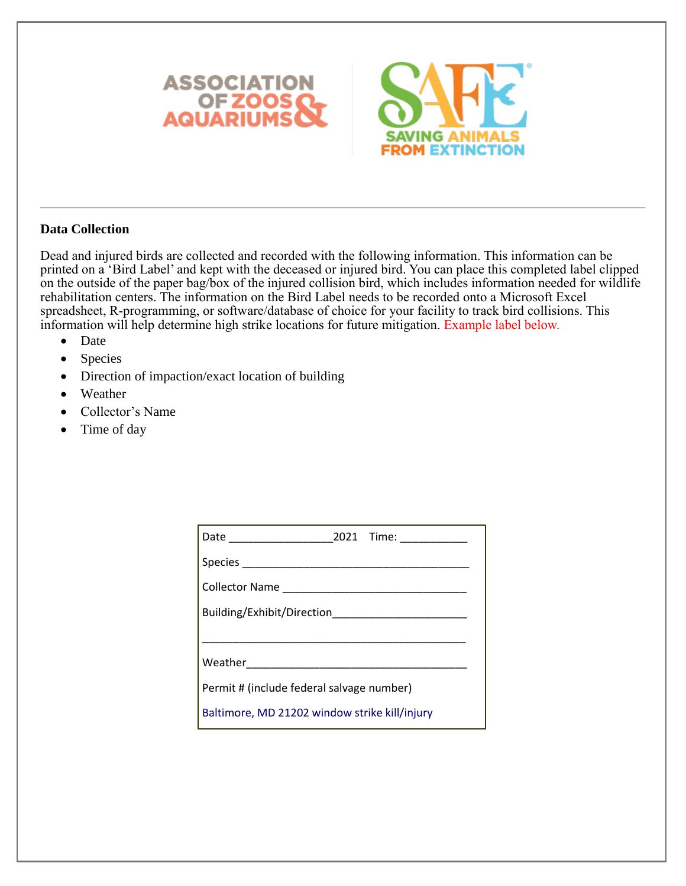



## **Data Collection**

Dead and injured birds are collected and recorded with the following information. This information can be printed on a 'Bird Label' and kept with the deceased or injured bird. You can place this completed label clipped on the outside of the paper bag/box of the injured collision bird, which includes information needed for wildlife rehabilitation centers. The information on the Bird Label needs to be recorded onto a Microsoft Excel spreadsheet, R-programming, or software/database of choice for your facility to track bird collisions. This information will help determine high strike locations for future mitigation. Example label below.

- Date
- Species
- Direction of impaction/exact location of building
- Weather
- Collector's Name
- Time of day

|                                               | 2021 Time: __________ |
|-----------------------------------------------|-----------------------|
|                                               |                       |
| Collector Name                                |                       |
| Building/Exhibit/Direction                    |                       |
|                                               |                       |
| Weather <b>New York Product</b>               |                       |
| Permit # (include federal salvage number)     |                       |
| Baltimore, MD 21202 window strike kill/injury |                       |